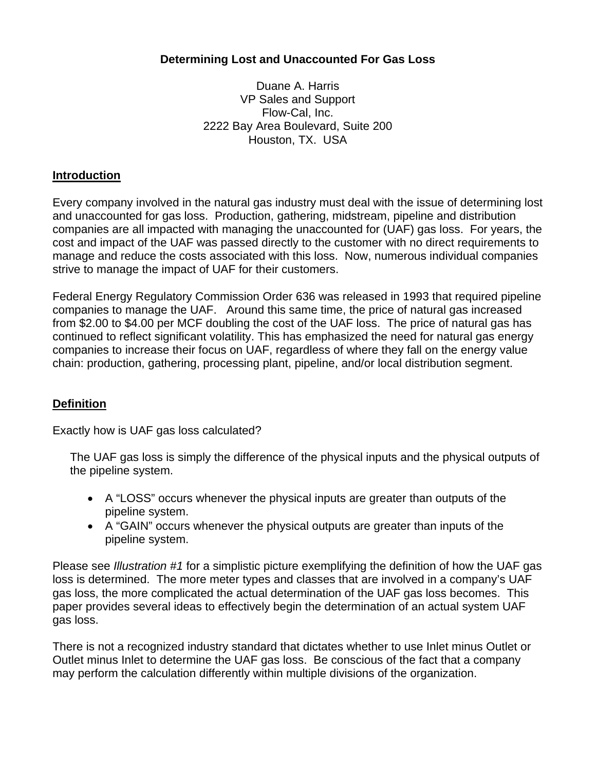## **Determining Lost and Unaccounted For Gas Loss**

Duane A. Harris VP Sales and Support Flow-Cal, Inc. 2222 Bay Area Boulevard, Suite 200 Houston, TX. USA

## **Introduction**

Every company involved in the natural gas industry must deal with the issue of determining lost and unaccounted for gas loss. Production, gathering, midstream, pipeline and distribution companies are all impacted with managing the unaccounted for (UAF) gas loss. For years, the cost and impact of the UAF was passed directly to the customer with no direct requirements to manage and reduce the costs associated with this loss. Now, numerous individual companies strive to manage the impact of UAF for their customers.

Federal Energy Regulatory Commission Order 636 was released in 1993 that required pipeline companies to manage the UAF. Around this same time, the price of natural gas increased from \$2.00 to \$4.00 per MCF doubling the cost of the UAF loss. The price of natural gas has continued to reflect significant volatility. This has emphasized the need for natural gas energy companies to increase their focus on UAF, regardless of where they fall on the energy value chain: production, gathering, processing plant, pipeline, and/or local distribution segment.

# **Definition**

Exactly how is UAF gas loss calculated?

The UAF gas loss is simply the difference of the physical inputs and the physical outputs of the pipeline system.

- A "LOSS" occurs whenever the physical inputs are greater than outputs of the pipeline system.
- A "GAIN" occurs whenever the physical outputs are greater than inputs of the pipeline system.

Please see *Illustration #1* for a simplistic picture exemplifying the definition of how the UAF gas loss is determined. The more meter types and classes that are involved in a company's UAF gas loss, the more complicated the actual determination of the UAF gas loss becomes. This paper provides several ideas to effectively begin the determination of an actual system UAF gas loss.

There is not a recognized industry standard that dictates whether to use Inlet minus Outlet or Outlet minus Inlet to determine the UAF gas loss. Be conscious of the fact that a company may perform the calculation differently within multiple divisions of the organization.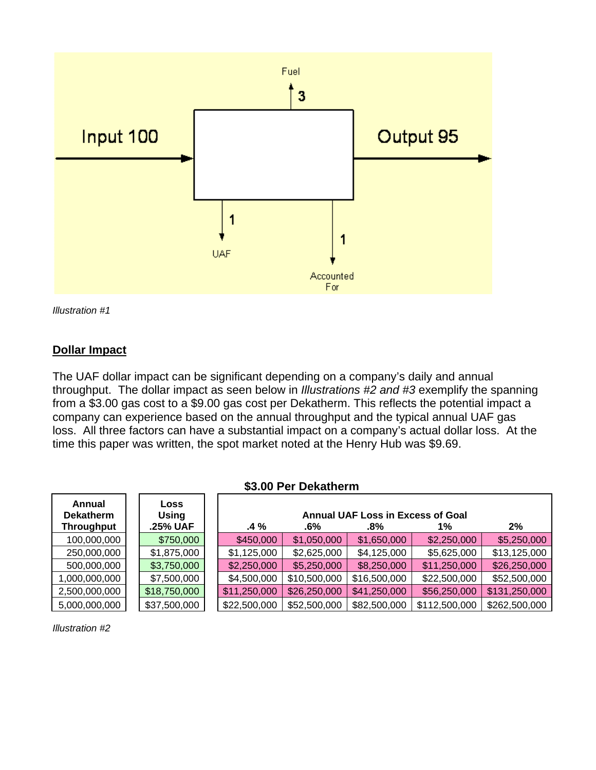

*Illustration #1* 

# **Dollar Impact**

The UAF dollar impact can be significant depending on a company's daily and annual throughput. The dollar impact as seen below in *Illustrations #2 and #3* exemplify the spanning from a \$3.00 gas cost to a \$9.00 gas cost per Dekatherm. This reflects the potential impact a company can experience based on the annual throughput and the typical annual UAF gas loss. All three factors can have a substantial impact on a company's actual dollar loss. At the time this paper was written, the spot market noted at the Henry Hub was \$9.69.

| \$3.00 Per Dekatherm                            |  |                                  |  |              |              |                                                    |               |               |
|-------------------------------------------------|--|----------------------------------|--|--------------|--------------|----------------------------------------------------|---------------|---------------|
| Annual<br><b>Dekatherm</b><br><b>Throughput</b> |  | Loss<br><b>Using</b><br>.25% UAF |  | $.4\%$       | .6%          | <b>Annual UAF Loss in Excess of Goal</b><br>$.8\%$ | 1%            | 2%            |
| 100,000,000                                     |  | \$750,000                        |  | \$450,000    | \$1,050,000  | \$1,650,000                                        | \$2,250,000   | \$5,250,000   |
| 250,000,000                                     |  | \$1,875,000                      |  | \$1,125,000  | \$2,625,000  | \$4,125,000                                        | \$5,625,000   | \$13,125,000  |
| 500,000,000                                     |  | \$3,750,000                      |  | \$2,250,000  | \$5,250,000  | \$8,250,000                                        | \$11,250,000  | \$26,250,000  |
| 1,000,000,000                                   |  | \$7,500,000                      |  | \$4,500,000  | \$10,500,000 | \$16,500,000                                       | \$22,500,000  | \$52,500,000  |
| 2,500,000,000                                   |  | \$18,750,000                     |  | \$11,250,000 | \$26,250,000 | \$41,250,000                                       | \$56,250,000  | \$131,250,000 |
| 5,000,000,000                                   |  | \$37,500,000                     |  | \$22,500,000 | \$52,500,000 | \$82,500,000                                       | \$112,500,000 | \$262,500,000 |

*Illustration #2*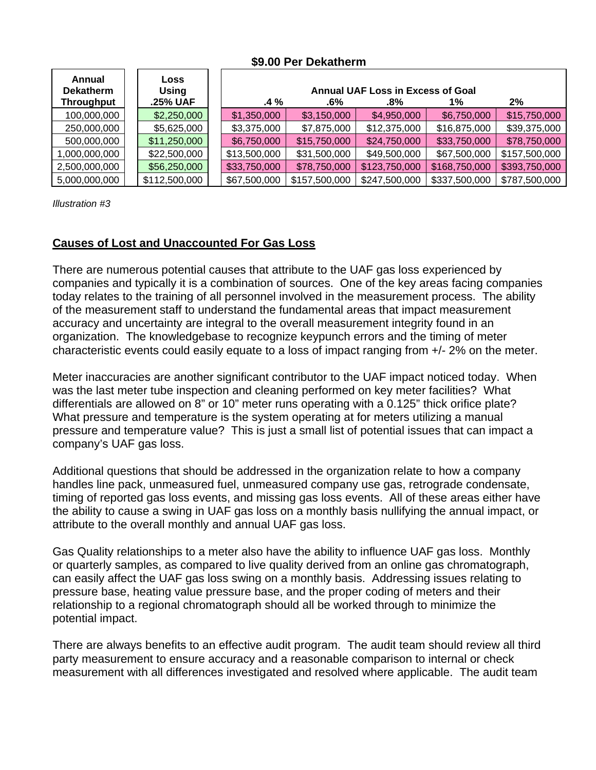### **\$9.00 Per Dekatherm**

| Annual<br><b>Dekatherm</b> | Loss<br>Using | <b>Annual UAF Loss in Excess of Goal</b> |               |               |               |               |  |  |
|----------------------------|---------------|------------------------------------------|---------------|---------------|---------------|---------------|--|--|
| <b>Throughput</b>          | .25% UAF      | $.4\%$                                   | .6%           | .8%           | 1%            | 2%            |  |  |
| 100,000,000                | \$2,250,000   | \$1,350,000                              | \$3,150,000   | \$4,950,000   | \$6,750,000   | \$15,750,000  |  |  |
| 250,000,000                | \$5,625,000   | \$3,375,000                              | \$7,875,000   | \$12,375,000  | \$16,875,000  | \$39,375,000  |  |  |
| 500,000,000                | \$11,250,000  | \$6,750,000                              | \$15,750,000  | \$24,750,000  | \$33,750,000  | \$78,750,000  |  |  |
| 1,000,000,000              | \$22,500,000  | \$13,500,000                             | \$31,500,000  | \$49,500,000  | \$67,500,000  | \$157,500,000 |  |  |
| 2,500,000,000              | \$56,250,000  | \$33,750,000                             | \$78,750,000  | \$123,750,000 | \$168,750,000 | \$393,750,000 |  |  |
| 5,000,000,000              | \$112,500,000 | \$67,500,000                             | \$157,500,000 | \$247,500,000 | \$337,500,000 | \$787,500,000 |  |  |

*Illustration #3* 

# **Causes of Lost and Unaccounted For Gas Loss**

There are numerous potential causes that attribute to the UAF gas loss experienced by companies and typically it is a combination of sources. One of the key areas facing companies today relates to the training of all personnel involved in the measurement process. The ability of the measurement staff to understand the fundamental areas that impact measurement accuracy and uncertainty are integral to the overall measurement integrity found in an organization. The knowledgebase to recognize keypunch errors and the timing of meter characteristic events could easily equate to a loss of impact ranging from +/- 2% on the meter.

Meter inaccuracies are another significant contributor to the UAF impact noticed today. When was the last meter tube inspection and cleaning performed on key meter facilities? What differentials are allowed on 8" or 10" meter runs operating with a 0.125" thick orifice plate? What pressure and temperature is the system operating at for meters utilizing a manual pressure and temperature value? This is just a small list of potential issues that can impact a company's UAF gas loss.

Additional questions that should be addressed in the organization relate to how a company handles line pack, unmeasured fuel, unmeasured company use gas, retrograde condensate, timing of reported gas loss events, and missing gas loss events. All of these areas either have the ability to cause a swing in UAF gas loss on a monthly basis nullifying the annual impact, or attribute to the overall monthly and annual UAF gas loss.

Gas Quality relationships to a meter also have the ability to influence UAF gas loss. Monthly or quarterly samples, as compared to live quality derived from an online gas chromatograph, can easily affect the UAF gas loss swing on a monthly basis. Addressing issues relating to pressure base, heating value pressure base, and the proper coding of meters and their relationship to a regional chromatograph should all be worked through to minimize the potential impact.

There are always benefits to an effective audit program. The audit team should review all third party measurement to ensure accuracy and a reasonable comparison to internal or check measurement with all differences investigated and resolved where applicable. The audit team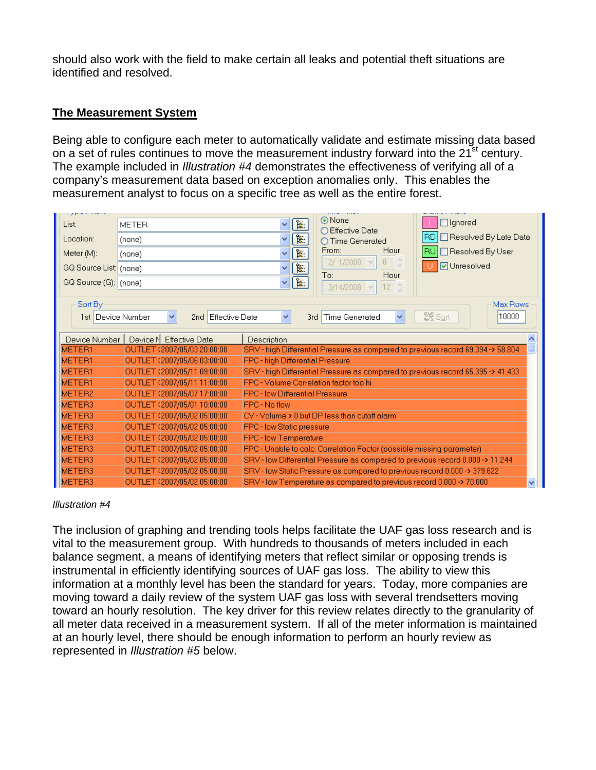should also work with the field to make certain all leaks and potential theft situations are identified and resolved.

### **The Measurement System**

Being able to configure each meter to automatically validate and estimate missing data based on a set of rules continues to move the measurement industry forward into the 21<sup>st</sup> century. The example included in *Illustration #4* demonstrates the effectiveness of verifying all of a company's measurement data based on exception anomalies only. This enables the measurement analyst to focus on a specific tree as well as the entire forest.

| List:                 | <b>METER</b>                | ⊙None<br>$\Box$ Ignored<br>ंडी<br>v<br>○ Effective Date                                             |
|-----------------------|-----------------------------|-----------------------------------------------------------------------------------------------------|
| Location:             | (none)                      | RD   Resolved By Late Data<br>配<br>$\checkmark$<br>○ Time Generated                                 |
| Meter (M):            | (none)                      | □ Resolved By User<br>From:<br>Hour<br>IRU<br>陶<br>$\checkmark$                                     |
| GQ Source List (none) |                             | $0 \quad \frac{1}{2}$<br>2/ 1/2008 $\sim$<br><b>ØUnresolved</b><br>陶<br>$\checkmark$<br>To:<br>Hour |
| GQ Source (G): (none) |                             | $\overline{\mathbf{p}}^{\mathbf{p}}$<br>$\vee$<br>12 <sup>o</sup><br>$3/14/2008$ $\vee$             |
|                       |                             |                                                                                                     |
| Sort By               |                             | Max Rows                                                                                            |
| 1st Device Number     | 2nd Effective Date<br>v     | 数 Sort<br>10000<br>3rd Time Generated<br>$\checkmark$<br>×                                          |
|                       |                             |                                                                                                     |
| Device Number         | Device N Effective Date     | Description                                                                                         |
| METER1                | OUTLET (2007/05/03 20:00:00 | SRV - high Differential Pressure as compared to previous record 69.394-> 58.804                     |
| METER1                | OUTLET (2007/05/06 03:00:00 | FPC - high Differential Pressure                                                                    |
| METER1                | OUTLET (2007/05/11 09:00:00 | SRV - high Differential Pressure as compared to previous record 65.395 -> 41.433                    |
| METER1                | OUTLET (2007/05/11 11:00:00 | FPC - Volume Correlation factor too hi                                                              |
| METER <sub>2</sub>    | OUTLET (2007/05/07 17:00:00 | <b>FPC</b> - low Differential Pressure                                                              |
| METER3                | OUTLET (2007/05/01 10:00:00 | FPC - No flow                                                                                       |
| METER3                | OUTLET (2007/05/02 05:00:00 | CV - Volume > 0 but DP less than cutoff alarm                                                       |
| METER3                | OUTLET (2007/05/02 05:00:00 | FPC-low Static pressure                                                                             |
| METER3                | OUTLET (2007/05/02 05:00:00 | <b>FPC-Iow Temperature</b>                                                                          |
| METER3                | OUTLET (2007/05/02 05:00:00 | FPC - Unable to calc. Correlation Factor (possible missing parameter).                              |
| METER3                | OUTLET (2007/05/02 05:00:00 | SRV - low Differential Pressure as compared to previous record 0.000 -> 11.244                      |
| METER3                | OUTLET (2007/05/02 05:00:00 | SRV - low Static Pressure as compared to previous record 0.000 -> 379.622                           |
| METER3                | OUTLET (2007/05/02 05:00:00 | SRV - low Temperature as compared to previous record 0.000 -> 70.000<br>$\overline{\mathbf{v}}$     |

#### *Illustration #4*

The inclusion of graphing and trending tools helps facilitate the UAF gas loss research and is vital to the measurement group. With hundreds to thousands of meters included in each balance segment, a means of identifying meters that reflect similar or opposing trends is instrumental in efficiently identifying sources of UAF gas loss. The ability to view this information at a monthly level has been the standard for years. Today, more companies are moving toward a daily review of the system UAF gas loss with several trendsetters moving toward an hourly resolution. The key driver for this review relates directly to the granularity of all meter data received in a measurement system. If all of the meter information is maintained at an hourly level, there should be enough information to perform an hourly review as represented in *Illustration #5* below.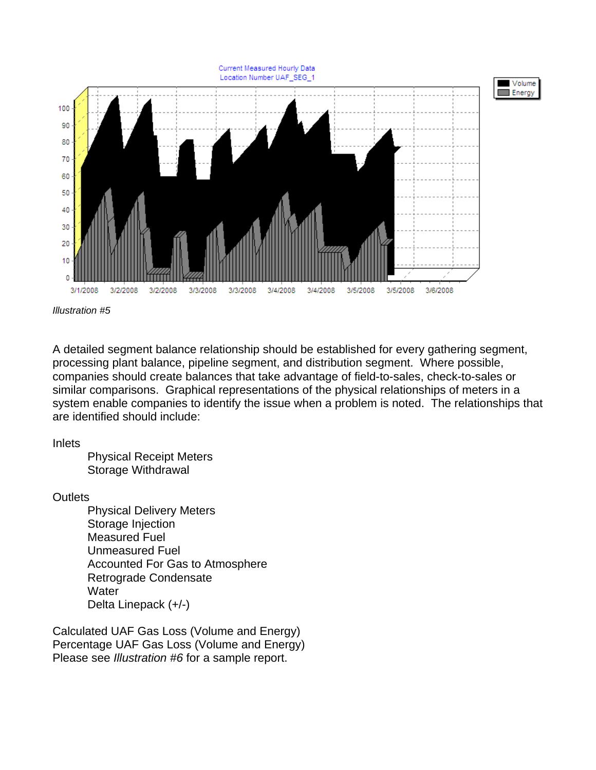

*Illustration #5* 

A detailed segment balance relationship should be established for every gathering segment, processing plant balance, pipeline segment, and distribution segment. Where possible, companies should create balances that take advantage of field-to-sales, check-to-sales or similar comparisons. Graphical representations of the physical relationships of meters in a system enable companies to identify the issue when a problem is noted. The relationships that are identified should include:

### Inlets

 Physical Receipt Meters Storage Withdrawal

**Outlets** 

 Physical Delivery Meters Storage Injection Measured Fuel Unmeasured Fuel Accounted For Gas to Atmosphere Retrograde Condensate **Water** Delta Linepack (+/-)

Calculated UAF Gas Loss (Volume and Energy) Percentage UAF Gas Loss (Volume and Energy) Please see *Illustration #6* for a sample report.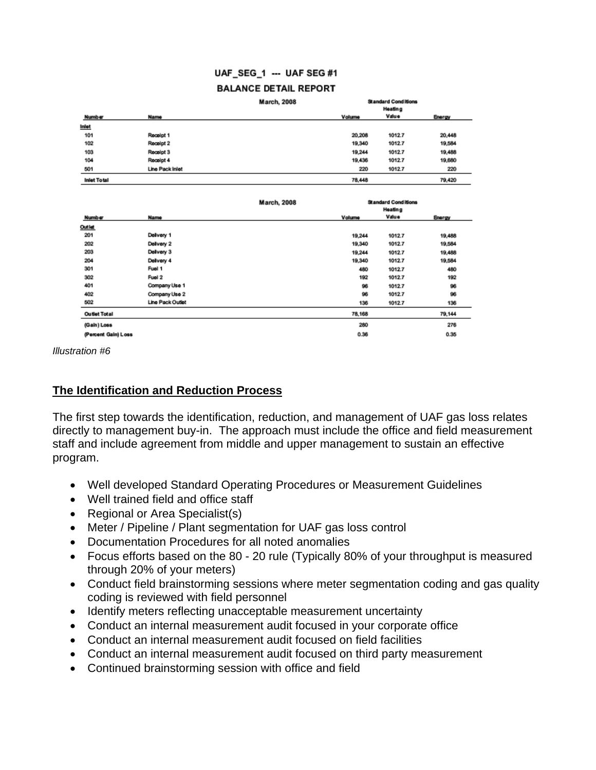### UAF\_SEG\_1 --- UAF SEG #1

#### **BALANCE DETAIL REPORT**

|                    |                      | <b>March, 2008</b> | <b>Standard Conditions</b><br>Heating |        |        |
|--------------------|----------------------|--------------------|---------------------------------------|--------|--------|
|                    |                      |                    |                                       |        |        |
| Number             | Name                 |                    | Volume                                | Value  | Energy |
| <b>Inlet</b>       |                      |                    |                                       |        |        |
| 101                | Receipt 1            |                    | 20,208                                | 1012.7 | 20,448 |
| 102                | Regelpt <sub>2</sub> |                    | 19,340                                | 1012.7 | 19,584 |
| 103                | Receipt 3            |                    | 19.244                                | 1012.7 | 19,488 |
| 104                | Receipt 4            |                    | 19,436                                | 1012.7 | 19,680 |
| 501                | Line Pack Inlet      |                    | 220                                   | 1012.7 | 220    |
| <b>Inlet Total</b> |                      |                    | 78,448                                |        | 79,420 |

|                     |                  | <b>March, 2008</b> | <b>Standard Conditions</b><br>Heating |        |        |
|---------------------|------------------|--------------------|---------------------------------------|--------|--------|
| Number              | <b>Name</b>      |                    | Volume                                | Value  | Energy |
| Outlet              |                  |                    |                                       |        |        |
| 201                 | Delivery 1       |                    | 19,244                                | 1012.7 | 19,488 |
| 202                 | Delivery 2       |                    | 19,340                                | 1012.7 | 19,584 |
| 203                 | Delivery 3       |                    | 19.244                                | 1012.7 | 19,488 |
| 204                 | Delivery 4       |                    | 19,340                                | 1012.7 | 19,584 |
| 301                 | Fuel 1           |                    | 480                                   | 1012.7 | 480    |
| 302                 | Fuel 2           |                    | 192                                   | 1012.7 | 192    |
| 401                 | Company Use 1    |                    | 96                                    | 1012.7 | 96     |
| 402                 | Company Use 2    |                    | 96                                    | 1012.7 | 96     |
| 502                 | Line Pack Outlet |                    | 136                                   | 1012.7 | 136    |
| <b>Outlet Total</b> |                  |                    | 78,168                                |        | 79,144 |
| (Gain) Loss         |                  |                    | 280                                   |        | 276    |
| (Percent Gain) Loss |                  |                    | 0.36                                  |        | 0.35   |

*Illustration #6* 

### **The Identification and Reduction Process**

The first step towards the identification, reduction, and management of UAF gas loss relates directly to management buy-in. The approach must include the office and field measurement staff and include agreement from middle and upper management to sustain an effective program.

- Well developed Standard Operating Procedures or Measurement Guidelines
- Well trained field and office staff
- Regional or Area Specialist(s)
- Meter / Pipeline / Plant segmentation for UAF gas loss control
- Documentation Procedures for all noted anomalies
- Focus efforts based on the 80 20 rule (Typically 80% of your throughput is measured through 20% of your meters)
- Conduct field brainstorming sessions where meter segmentation coding and gas quality coding is reviewed with field personnel
- Identify meters reflecting unacceptable measurement uncertainty
- Conduct an internal measurement audit focused in your corporate office
- Conduct an internal measurement audit focused on field facilities
- Conduct an internal measurement audit focused on third party measurement
- Continued brainstorming session with office and field